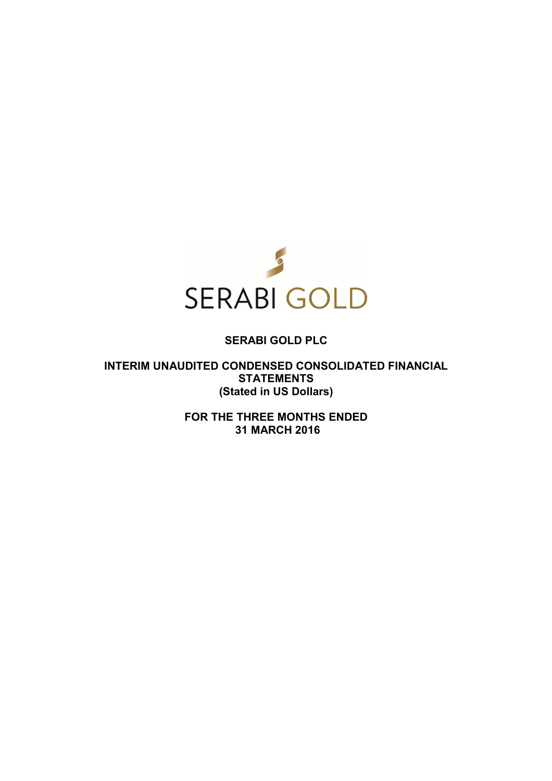

# **SERABI GOLD PLC**

**INTERIM UNAUDITED CONDENSED CONSOLIDATED FINANCIAL STATEMENTS (Stated in US Dollars)** 

> **FOR THE THREE MONTHS ENDED 31 MARCH 2016**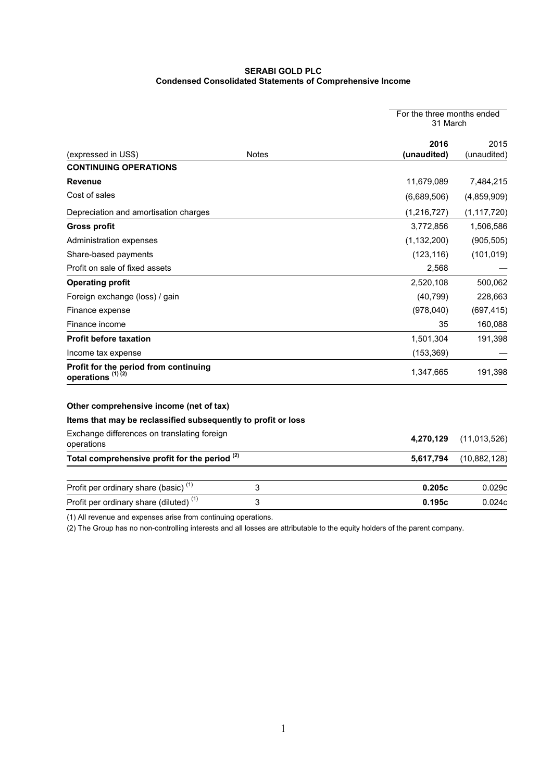### **SERABI GOLD PLC Condensed Consolidated Statements of Comprehensive Income**

|                                                                       |                           | For the three months ended<br>31 March |                     |
|-----------------------------------------------------------------------|---------------------------|----------------------------------------|---------------------|
| (expressed in US\$)                                                   | <b>Notes</b>              | 2016<br>(unaudited)                    | 2015<br>(unaudited) |
| <b>CONTINUING OPERATIONS</b>                                          |                           |                                        |                     |
| Revenue                                                               |                           | 11,679,089                             | 7,484,215           |
| Cost of sales                                                         |                           | (6,689,506)                            | (4,859,909)         |
| Depreciation and amortisation charges                                 |                           | (1, 216, 727)                          | (1, 117, 720)       |
| <b>Gross profit</b>                                                   |                           | 3,772,856                              | 1,506,586           |
| Administration expenses                                               |                           | (1, 132, 200)                          | (905, 505)          |
| Share-based payments                                                  |                           | (123, 116)                             | (101, 019)          |
| Profit on sale of fixed assets                                        |                           | 2,568                                  |                     |
| <b>Operating profit</b>                                               |                           | 2,520,108                              | 500,062             |
| Foreign exchange (loss) / gain                                        |                           | (40, 799)                              | 228,663             |
| Finance expense                                                       |                           | (978, 040)                             | (697, 415)          |
| Finance income                                                        |                           | 35                                     | 160,088             |
| <b>Profit before taxation</b>                                         |                           | 1,501,304                              | 191,398             |
| Income tax expense                                                    |                           | (153, 369)                             |                     |
| Profit for the period from continuing<br>operations <sup>(1)(2)</sup> |                           | 1,347,665                              | 191,398             |
| Other comprehensive income (net of tax)                               |                           |                                        |                     |
| Items that may be reclassified subsequently to profit or loss         |                           |                                        |                     |
| Exchange differences on translating foreign<br>operations             |                           | 4,270,129                              | (11, 013, 526)      |
| Total comprehensive profit for the period <sup>(2)</sup>              |                           | 5,617,794                              | (10,882,128)        |
| Profit per ordinary share (basic) <sup>(1)</sup>                      | $\ensuremath{\mathsf{3}}$ | 0.205c                                 | 0.029c              |
| Profit per ordinary share (diluted) <sup>(1)</sup>                    | 3                         | 0.195c                                 | 0.024c              |
|                                                                       |                           |                                        |                     |

(1) All revenue and expenses arise from continuing operations.

(2) The Group has no non-controlling interests and all losses are attributable to the equity holders of the parent company.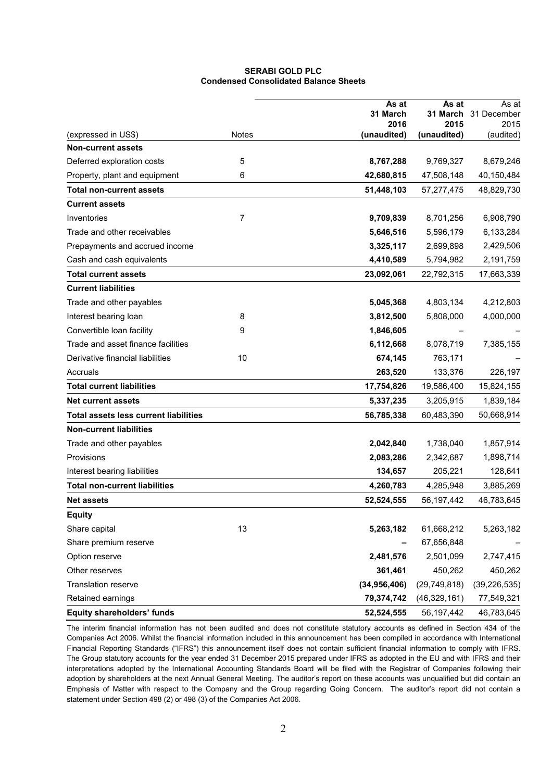### **SERABI GOLD PLC Condensed Consolidated Balance Sheets**

|                                              |              | As at               | As at               | As at                |
|----------------------------------------------|--------------|---------------------|---------------------|----------------------|
|                                              |              | 31 March            |                     | 31 March 31 December |
| (expressed in US\$)                          | <b>Notes</b> | 2016<br>(unaudited) | 2015<br>(unaudited) | 2015<br>(audited)    |
| <b>Non-current assets</b>                    |              |                     |                     |                      |
| Deferred exploration costs                   | 5            | 8,767,288           | 9,769,327           | 8,679,246            |
| Property, plant and equipment                | 6            | 42,680,815          | 47,508,148          | 40,150,484           |
| <b>Total non-current assets</b>              |              | 51,448,103          | 57,277,475          | 48,829,730           |
| <b>Current assets</b>                        |              |                     |                     |                      |
| Inventories                                  | 7            | 9,709,839           | 8,701,256           | 6,908,790            |
| Trade and other receivables                  |              | 5,646,516           | 5,596,179           | 6,133,284            |
| Prepayments and accrued income               |              | 3,325,117           | 2,699,898           | 2,429,506            |
| Cash and cash equivalents                    |              | 4,410,589           | 5,794,982           | 2,191,759            |
| <b>Total current assets</b>                  |              | 23,092,061          | 22,792,315          | 17,663,339           |
| <b>Current liabilities</b>                   |              |                     |                     |                      |
| Trade and other payables                     |              | 5,045,368           | 4,803,134           | 4,212,803            |
| Interest bearing loan                        | 8            | 3,812,500           | 5,808,000           | 4,000,000            |
| Convertible loan facility                    | 9            | 1,846,605           |                     |                      |
| Trade and asset finance facilities           |              | 6,112,668           | 8,078,719           | 7,385,155            |
| Derivative financial liabilities             | 10           | 674,145             | 763,171             |                      |
| Accruals                                     |              | 263,520             | 133,376             | 226,197              |
| <b>Total current liabilities</b>             |              | 17,754,826          | 19,586,400          | 15,824,155           |
| <b>Net current assets</b>                    |              | 5,337,235           | 3,205,915           | 1,839,184            |
| <b>Total assets less current liabilities</b> |              | 56,785,338          | 60,483,390          | 50,668,914           |
| <b>Non-current liabilities</b>               |              |                     |                     |                      |
| Trade and other payables                     |              | 2,042,840           | 1,738,040           | 1,857,914            |
| Provisions                                   |              | 2,083,286           | 2,342,687           | 1,898,714            |
| Interest bearing liabilities                 |              | 134,657             | 205,221             | 128,641              |
| <b>Total non-current liabilities</b>         |              | 4,260,783           | 4,285,948           | 3,885,269            |
| <b>Net assets</b>                            |              | 52,524,555          | 56, 197, 442        | 46,783,645           |
| <b>Equity</b>                                |              |                     |                     |                      |
| Share capital                                | 13           | 5,263,182           | 61,668,212          | 5,263,182            |
| Share premium reserve                        |              |                     | 67,656,848          |                      |
| Option reserve                               |              | 2,481,576           | 2,501,099           | 2,747,415            |
| Other reserves                               |              | 361,461             | 450,262             | 450,262              |
| Translation reserve                          |              | (34, 956, 406)      | (29, 749, 818)      | (39, 226, 535)       |
| Retained earnings                            |              | 79,374,742          | (46, 329, 161)      | 77,549,321           |
| <b>Equity shareholders' funds</b>            |              | 52,524,555          | 56, 197, 442        | 46,783,645           |

The interim financial information has not been audited and does not constitute statutory accounts as defined in Section 434 of the Companies Act 2006. Whilst the financial information included in this announcement has been compiled in accordance with International Financial Reporting Standards ("IFRS") this announcement itself does not contain sufficient financial information to comply with IFRS. The Group statutory accounts for the year ended 31 December 2015 prepared under IFRS as adopted in the EU and with IFRS and their interpretations adopted by the International Accounting Standards Board will be filed with the Registrar of Companies following their adoption by shareholders at the next Annual General Meeting. The auditor's report on these accounts was unqualified but did contain an Emphasis of Matter with respect to the Company and the Group regarding Going Concern. The auditor's report did not contain a statement under Section 498 (2) or 498 (3) of the Companies Act 2006.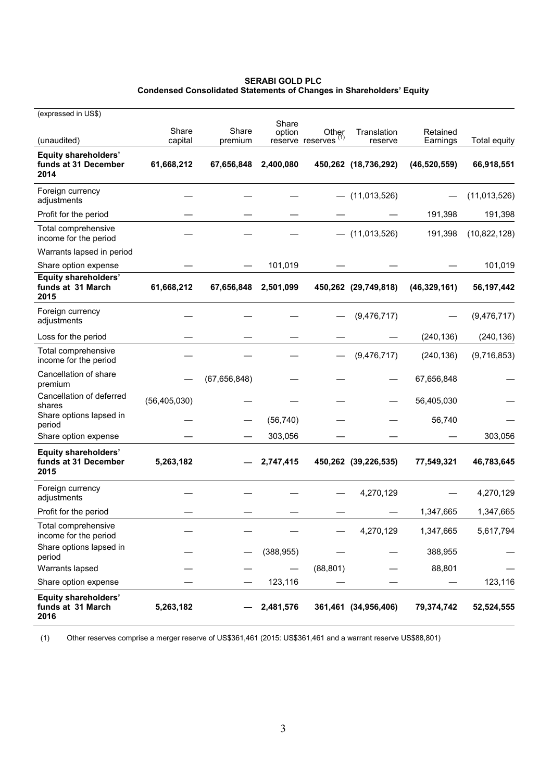#### **SERABI GOLD PLC Condensed Consolidated Statements of Changes in Shareholders' Equity**

| (expressed in US\$)                                         |                |                |                 |                                          |                      |                |                     |
|-------------------------------------------------------------|----------------|----------------|-----------------|------------------------------------------|----------------------|----------------|---------------------|
|                                                             | Share          | Share          | Share<br>option | Other<br>reserve reserves <sup>(1)</sup> | Translation          | Retained       |                     |
| (unaudited)                                                 | capital        | premium        |                 |                                          | reserve              | Earnings       | <b>Total equity</b> |
| Equity shareholders'<br>funds at 31 December<br>2014        | 61,668,212     | 67,656,848     | 2,400,080       |                                          | 450,262 (18,736,292) | (46, 520, 559) | 66,918,551          |
| Foreign currency<br>adjustments                             |                |                |                 |                                          | $-$ (11,013,526)     |                | (11,013,526)        |
| Profit for the period                                       |                |                |                 |                                          |                      | 191,398        | 191,398             |
| Total comprehensive<br>income for the period                |                |                |                 |                                          | $-$ (11,013,526)     | 191,398        | (10,822,128)        |
| Warrants lapsed in period                                   |                |                |                 |                                          |                      |                |                     |
| Share option expense                                        |                |                | 101,019         |                                          |                      |                | 101,019             |
| <b>Equity shareholders'</b><br>funds at 31 March<br>2015    | 61,668,212     | 67,656,848     | 2,501,099       |                                          | 450,262 (29,749,818) | (46, 329, 161) | 56, 197, 442        |
| Foreign currency<br>adjustments                             |                |                |                 |                                          | (9, 476, 717)        |                | (9, 476, 717)       |
| Loss for the period                                         |                |                |                 |                                          |                      | (240, 136)     | (240, 136)          |
| Total comprehensive<br>income for the period                |                |                |                 |                                          | (9, 476, 717)        | (240, 136)     | (9,716,853)         |
| Cancellation of share<br>premium                            |                | (67, 656, 848) |                 |                                          |                      | 67,656,848     |                     |
| Cancellation of deferred<br>shares                          | (56, 405, 030) |                |                 |                                          |                      | 56,405,030     |                     |
| Share options lapsed in<br>period                           |                |                | (56, 740)       |                                          |                      | 56,740         |                     |
| Share option expense                                        |                |                | 303,056         |                                          |                      |                | 303,056             |
| <b>Equity shareholders'</b><br>funds at 31 December<br>2015 | 5,263,182      |                | 2,747,415       |                                          | 450,262 (39,226,535) | 77,549,321     | 46,783,645          |
| Foreign currency<br>adjustments                             |                |                |                 |                                          | 4,270,129            |                | 4,270,129           |
| Profit for the period                                       |                |                |                 |                                          |                      | 1,347,665      | 1,347,665           |
| Total comprehensive<br>income for the period                |                |                |                 |                                          | 4,270,129            | 1,347,665      | 5,617,794           |
| Share options lapsed in<br>period                           |                |                | (388, 955)      |                                          |                      | 388,955        |                     |
| Warrants lapsed                                             |                |                |                 | (88, 801)                                |                      | 88,801         |                     |
| Share option expense                                        |                |                | 123,116         |                                          |                      |                | 123,116             |
| <b>Equity shareholders'</b><br>funds at 31 March<br>2016    | 5,263,182      |                | 2,481,576       |                                          | 361,461 (34,956,406) | 79,374,742     | 52,524,555          |

(1) Other reserves comprise a merger reserve of US\$361,461 (2015: US\$361,461 and a warrant reserve US\$88,801)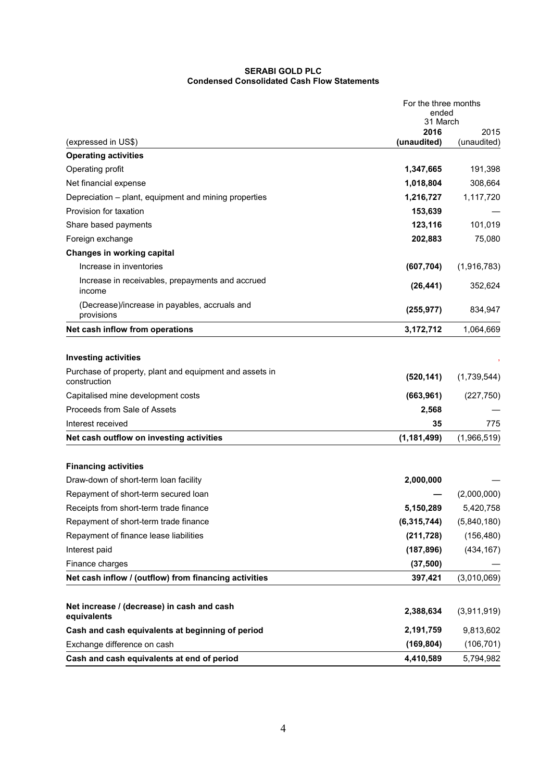### **SERABI GOLD PLC Condensed Consolidated Cash Flow Statements**

| 31 March<br>2016<br>2015<br>(unaudited)<br>(expressed in US\$)<br>(unaudited)<br><b>Operating activities</b><br>Operating profit<br>1,347,665<br>Net financial expense<br>1,018,804<br>308,664<br>Depreciation - plant, equipment and mining properties<br>1,216,727<br>1,117,720<br>Provision for taxation<br>153,639<br>123,116<br>Share based payments<br>Foreign exchange<br>202,883<br>Changes in working capital<br>Increase in inventories<br>(607, 704)<br>Increase in receivables, prepayments and accrued<br>(26, 441)<br>352,624<br>income<br>(Decrease)/increase in payables, accruals and<br>(255, 977)<br>provisions<br>Net cash inflow from operations<br>3,172,712<br>1,064,669<br><b>Investing activities</b><br>Purchase of property, plant and equipment and assets in<br>(520, 141)<br>construction<br>Capitalised mine development costs<br>(663, 961)<br>(227, 750)<br>Proceeds from Sale of Assets<br>2,568<br>775<br>Interest received<br>35<br>Net cash outflow on investing activities<br>(1,966,519)<br>(1, 181, 499)<br><b>Financing activities</b><br>Draw-down of short-term loan facility<br>2,000,000<br>Repayment of short-term secured loan<br>5,420,758<br>Receipts from short-term trade finance<br>5,150,289<br>Repayment of short-term trade finance<br>(6, 315, 744)<br>Repayment of finance lease liabilities<br>(211, 728)<br>Interest paid<br>(187, 896)<br>Finance charges<br>(37, 500)<br>Net cash inflow / (outflow) from financing activities<br>397,421<br>Net increase / (decrease) in cash and cash<br>2,388,634<br>equivalents<br>2,191,759<br>Cash and cash equivalents at beginning of period | For the three months<br>ended |  |  |
|---------------------------------------------------------------------------------------------------------------------------------------------------------------------------------------------------------------------------------------------------------------------------------------------------------------------------------------------------------------------------------------------------------------------------------------------------------------------------------------------------------------------------------------------------------------------------------------------------------------------------------------------------------------------------------------------------------------------------------------------------------------------------------------------------------------------------------------------------------------------------------------------------------------------------------------------------------------------------------------------------------------------------------------------------------------------------------------------------------------------------------------------------------------------------------------------------------------------------------------------------------------------------------------------------------------------------------------------------------------------------------------------------------------------------------------------------------------------------------------------------------------------------------------------------------------------------------------------------------------------------------------------------|-------------------------------|--|--|
|                                                                                                                                                                                                                                                                                                                                                                                                                                                                                                                                                                                                                                                                                                                                                                                                                                                                                                                                                                                                                                                                                                                                                                                                                                                                                                                                                                                                                                                                                                                                                                                                                                                   |                               |  |  |
|                                                                                                                                                                                                                                                                                                                                                                                                                                                                                                                                                                                                                                                                                                                                                                                                                                                                                                                                                                                                                                                                                                                                                                                                                                                                                                                                                                                                                                                                                                                                                                                                                                                   |                               |  |  |
| 191,398<br>101,019<br>75,080<br>(1,916,783)<br>834,947<br>(1,739,544)<br>(2,000,000)<br>(5,840,180)<br>(156, 480)<br>(434, 167)<br>(3,010,069)<br>(3,911,919)<br>9,813,602                                                                                                                                                                                                                                                                                                                                                                                                                                                                                                                                                                                                                                                                                                                                                                                                                                                                                                                                                                                                                                                                                                                                                                                                                                                                                                                                                                                                                                                                        |                               |  |  |
|                                                                                                                                                                                                                                                                                                                                                                                                                                                                                                                                                                                                                                                                                                                                                                                                                                                                                                                                                                                                                                                                                                                                                                                                                                                                                                                                                                                                                                                                                                                                                                                                                                                   |                               |  |  |
|                                                                                                                                                                                                                                                                                                                                                                                                                                                                                                                                                                                                                                                                                                                                                                                                                                                                                                                                                                                                                                                                                                                                                                                                                                                                                                                                                                                                                                                                                                                                                                                                                                                   |                               |  |  |
|                                                                                                                                                                                                                                                                                                                                                                                                                                                                                                                                                                                                                                                                                                                                                                                                                                                                                                                                                                                                                                                                                                                                                                                                                                                                                                                                                                                                                                                                                                                                                                                                                                                   |                               |  |  |
|                                                                                                                                                                                                                                                                                                                                                                                                                                                                                                                                                                                                                                                                                                                                                                                                                                                                                                                                                                                                                                                                                                                                                                                                                                                                                                                                                                                                                                                                                                                                                                                                                                                   |                               |  |  |
|                                                                                                                                                                                                                                                                                                                                                                                                                                                                                                                                                                                                                                                                                                                                                                                                                                                                                                                                                                                                                                                                                                                                                                                                                                                                                                                                                                                                                                                                                                                                                                                                                                                   |                               |  |  |
|                                                                                                                                                                                                                                                                                                                                                                                                                                                                                                                                                                                                                                                                                                                                                                                                                                                                                                                                                                                                                                                                                                                                                                                                                                                                                                                                                                                                                                                                                                                                                                                                                                                   |                               |  |  |
|                                                                                                                                                                                                                                                                                                                                                                                                                                                                                                                                                                                                                                                                                                                                                                                                                                                                                                                                                                                                                                                                                                                                                                                                                                                                                                                                                                                                                                                                                                                                                                                                                                                   |                               |  |  |
|                                                                                                                                                                                                                                                                                                                                                                                                                                                                                                                                                                                                                                                                                                                                                                                                                                                                                                                                                                                                                                                                                                                                                                                                                                                                                                                                                                                                                                                                                                                                                                                                                                                   |                               |  |  |
|                                                                                                                                                                                                                                                                                                                                                                                                                                                                                                                                                                                                                                                                                                                                                                                                                                                                                                                                                                                                                                                                                                                                                                                                                                                                                                                                                                                                                                                                                                                                                                                                                                                   |                               |  |  |
|                                                                                                                                                                                                                                                                                                                                                                                                                                                                                                                                                                                                                                                                                                                                                                                                                                                                                                                                                                                                                                                                                                                                                                                                                                                                                                                                                                                                                                                                                                                                                                                                                                                   |                               |  |  |
|                                                                                                                                                                                                                                                                                                                                                                                                                                                                                                                                                                                                                                                                                                                                                                                                                                                                                                                                                                                                                                                                                                                                                                                                                                                                                                                                                                                                                                                                                                                                                                                                                                                   |                               |  |  |
|                                                                                                                                                                                                                                                                                                                                                                                                                                                                                                                                                                                                                                                                                                                                                                                                                                                                                                                                                                                                                                                                                                                                                                                                                                                                                                                                                                                                                                                                                                                                                                                                                                                   |                               |  |  |
|                                                                                                                                                                                                                                                                                                                                                                                                                                                                                                                                                                                                                                                                                                                                                                                                                                                                                                                                                                                                                                                                                                                                                                                                                                                                                                                                                                                                                                                                                                                                                                                                                                                   |                               |  |  |
|                                                                                                                                                                                                                                                                                                                                                                                                                                                                                                                                                                                                                                                                                                                                                                                                                                                                                                                                                                                                                                                                                                                                                                                                                                                                                                                                                                                                                                                                                                                                                                                                                                                   |                               |  |  |
|                                                                                                                                                                                                                                                                                                                                                                                                                                                                                                                                                                                                                                                                                                                                                                                                                                                                                                                                                                                                                                                                                                                                                                                                                                                                                                                                                                                                                                                                                                                                                                                                                                                   |                               |  |  |
|                                                                                                                                                                                                                                                                                                                                                                                                                                                                                                                                                                                                                                                                                                                                                                                                                                                                                                                                                                                                                                                                                                                                                                                                                                                                                                                                                                                                                                                                                                                                                                                                                                                   |                               |  |  |
|                                                                                                                                                                                                                                                                                                                                                                                                                                                                                                                                                                                                                                                                                                                                                                                                                                                                                                                                                                                                                                                                                                                                                                                                                                                                                                                                                                                                                                                                                                                                                                                                                                                   |                               |  |  |
|                                                                                                                                                                                                                                                                                                                                                                                                                                                                                                                                                                                                                                                                                                                                                                                                                                                                                                                                                                                                                                                                                                                                                                                                                                                                                                                                                                                                                                                                                                                                                                                                                                                   |                               |  |  |
|                                                                                                                                                                                                                                                                                                                                                                                                                                                                                                                                                                                                                                                                                                                                                                                                                                                                                                                                                                                                                                                                                                                                                                                                                                                                                                                                                                                                                                                                                                                                                                                                                                                   |                               |  |  |
|                                                                                                                                                                                                                                                                                                                                                                                                                                                                                                                                                                                                                                                                                                                                                                                                                                                                                                                                                                                                                                                                                                                                                                                                                                                                                                                                                                                                                                                                                                                                                                                                                                                   |                               |  |  |
|                                                                                                                                                                                                                                                                                                                                                                                                                                                                                                                                                                                                                                                                                                                                                                                                                                                                                                                                                                                                                                                                                                                                                                                                                                                                                                                                                                                                                                                                                                                                                                                                                                                   |                               |  |  |
|                                                                                                                                                                                                                                                                                                                                                                                                                                                                                                                                                                                                                                                                                                                                                                                                                                                                                                                                                                                                                                                                                                                                                                                                                                                                                                                                                                                                                                                                                                                                                                                                                                                   |                               |  |  |
|                                                                                                                                                                                                                                                                                                                                                                                                                                                                                                                                                                                                                                                                                                                                                                                                                                                                                                                                                                                                                                                                                                                                                                                                                                                                                                                                                                                                                                                                                                                                                                                                                                                   |                               |  |  |
|                                                                                                                                                                                                                                                                                                                                                                                                                                                                                                                                                                                                                                                                                                                                                                                                                                                                                                                                                                                                                                                                                                                                                                                                                                                                                                                                                                                                                                                                                                                                                                                                                                                   |                               |  |  |
|                                                                                                                                                                                                                                                                                                                                                                                                                                                                                                                                                                                                                                                                                                                                                                                                                                                                                                                                                                                                                                                                                                                                                                                                                                                                                                                                                                                                                                                                                                                                                                                                                                                   |                               |  |  |
|                                                                                                                                                                                                                                                                                                                                                                                                                                                                                                                                                                                                                                                                                                                                                                                                                                                                                                                                                                                                                                                                                                                                                                                                                                                                                                                                                                                                                                                                                                                                                                                                                                                   |                               |  |  |
|                                                                                                                                                                                                                                                                                                                                                                                                                                                                                                                                                                                                                                                                                                                                                                                                                                                                                                                                                                                                                                                                                                                                                                                                                                                                                                                                                                                                                                                                                                                                                                                                                                                   |                               |  |  |
|                                                                                                                                                                                                                                                                                                                                                                                                                                                                                                                                                                                                                                                                                                                                                                                                                                                                                                                                                                                                                                                                                                                                                                                                                                                                                                                                                                                                                                                                                                                                                                                                                                                   |                               |  |  |
|                                                                                                                                                                                                                                                                                                                                                                                                                                                                                                                                                                                                                                                                                                                                                                                                                                                                                                                                                                                                                                                                                                                                                                                                                                                                                                                                                                                                                                                                                                                                                                                                                                                   |                               |  |  |
|                                                                                                                                                                                                                                                                                                                                                                                                                                                                                                                                                                                                                                                                                                                                                                                                                                                                                                                                                                                                                                                                                                                                                                                                                                                                                                                                                                                                                                                                                                                                                                                                                                                   |                               |  |  |
|                                                                                                                                                                                                                                                                                                                                                                                                                                                                                                                                                                                                                                                                                                                                                                                                                                                                                                                                                                                                                                                                                                                                                                                                                                                                                                                                                                                                                                                                                                                                                                                                                                                   |                               |  |  |
| Exchange difference on cash<br>(169, 804)<br>(106, 701)                                                                                                                                                                                                                                                                                                                                                                                                                                                                                                                                                                                                                                                                                                                                                                                                                                                                                                                                                                                                                                                                                                                                                                                                                                                                                                                                                                                                                                                                                                                                                                                           |                               |  |  |
| Cash and cash equivalents at end of period<br>4,410,589<br>5,794,982                                                                                                                                                                                                                                                                                                                                                                                                                                                                                                                                                                                                                                                                                                                                                                                                                                                                                                                                                                                                                                                                                                                                                                                                                                                                                                                                                                                                                                                                                                                                                                              |                               |  |  |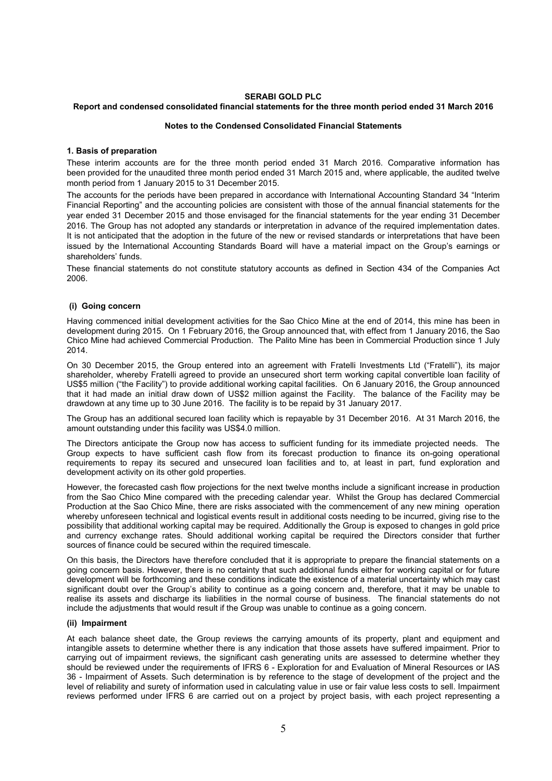### **SERABI GOLD PLC**

### **Report and condensed consolidated financial statements for the three month period ended 31 March 2016**

#### **Notes to the Condensed Consolidated Financial Statements**

#### **1. Basis of preparation**

These interim accounts are for the three month period ended 31 March 2016. Comparative information has been provided for the unaudited three month period ended 31 March 2015 and, where applicable, the audited twelve month period from 1 January 2015 to 31 December 2015.

The accounts for the periods have been prepared in accordance with International Accounting Standard 34 "Interim Financial Reporting" and the accounting policies are consistent with those of the annual financial statements for the year ended 31 December 2015 and those envisaged for the financial statements for the year ending 31 December 2016. The Group has not adopted any standards or interpretation in advance of the required implementation dates. It is not anticipated that the adoption in the future of the new or revised standards or interpretations that have been issued by the International Accounting Standards Board will have a material impact on the Group's earnings or shareholders' funds.

These financial statements do not constitute statutory accounts as defined in Section 434 of the Companies Act 2006.

#### **(i) Going concern**

Having commenced initial development activities for the Sao Chico Mine at the end of 2014, this mine has been in development during 2015. On 1 February 2016, the Group announced that, with effect from 1 January 2016, the Sao Chico Mine had achieved Commercial Production. The Palito Mine has been in Commercial Production since 1 July 2014.

On 30 December 2015, the Group entered into an agreement with Fratelli Investments Ltd ("Fratelli"), its major shareholder, whereby Fratelli agreed to provide an unsecured short term working capital convertible loan facility of US\$5 million ("the Facility") to provide additional working capital facilities. On 6 January 2016, the Group announced that it had made an initial draw down of US\$2 million against the Facility. The balance of the Facility may be drawdown at any time up to 30 June 2016. The facility is to be repaid by 31 January 2017.

The Group has an additional secured loan facility which is repayable by 31 December 2016. At 31 March 2016, the amount outstanding under this facility was US\$4.0 million.

The Directors anticipate the Group now has access to sufficient funding for its immediate projected needs. The Group expects to have sufficient cash flow from its forecast production to finance its on-going operational requirements to repay its secured and unsecured loan facilities and to, at least in part, fund exploration and development activity on its other gold properties.

However, the forecasted cash flow projections for the next twelve months include a significant increase in production from the Sao Chico Mine compared with the preceding calendar year. Whilst the Group has declared Commercial Production at the Sao Chico Mine, there are risks associated with the commencement of any new mining operation whereby unforeseen technical and logistical events result in additional costs needing to be incurred, giving rise to the possibility that additional working capital may be required. Additionally the Group is exposed to changes in gold price and currency exchange rates. Should additional working capital be required the Directors consider that further sources of finance could be secured within the required timescale.

On this basis, the Directors have therefore concluded that it is appropriate to prepare the financial statements on a going concern basis. However, there is no certainty that such additional funds either for working capital or for future development will be forthcoming and these conditions indicate the existence of a material uncertainty which may cast significant doubt over the Group's ability to continue as a going concern and, therefore, that it may be unable to realise its assets and discharge its liabilities in the normal course of business. The financial statements do not include the adjustments that would result if the Group was unable to continue as a going concern.

### **(ii) Impairment**

At each balance sheet date, the Group reviews the carrying amounts of its property, plant and equipment and intangible assets to determine whether there is any indication that those assets have suffered impairment. Prior to carrying out of impairment reviews, the significant cash generating units are assessed to determine whether they should be reviewed under the requirements of IFRS 6 - Exploration for and Evaluation of Mineral Resources or IAS 36 - Impairment of Assets. Such determination is by reference to the stage of development of the project and the level of reliability and surety of information used in calculating value in use or fair value less costs to sell. Impairment reviews performed under IFRS 6 are carried out on a project by project basis, with each project representing a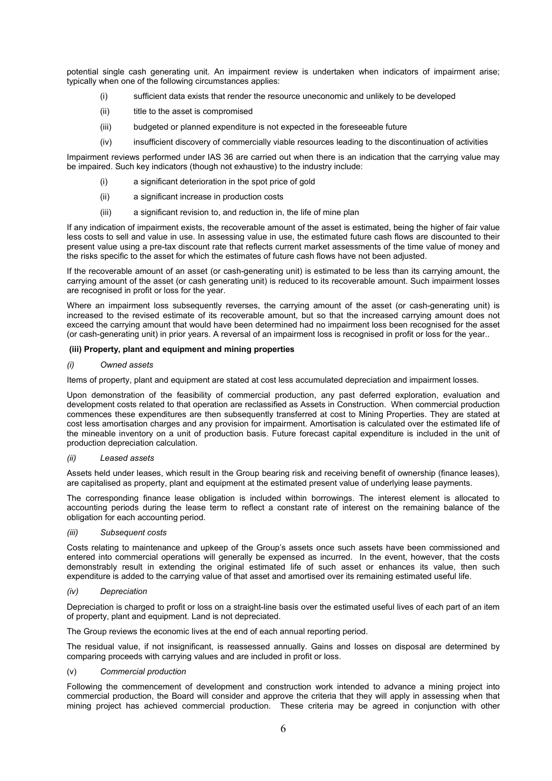potential single cash generating unit. An impairment review is undertaken when indicators of impairment arise; typically when one of the following circumstances applies:

- (i) sufficient data exists that render the resource uneconomic and unlikely to be developed
- (ii) title to the asset is compromised
- (iii) budgeted or planned expenditure is not expected in the foreseeable future
- (iv) insufficient discovery of commercially viable resources leading to the discontinuation of activities

Impairment reviews performed under IAS 36 are carried out when there is an indication that the carrying value may be impaired. Such key indicators (though not exhaustive) to the industry include:

- a significant deterioration in the spot price of gold
- (ii) a significant increase in production costs
- (iii) a significant revision to, and reduction in, the life of mine plan

If any indication of impairment exists, the recoverable amount of the asset is estimated, being the higher of fair value less costs to sell and value in use. In assessing value in use, the estimated future cash flows are discounted to their present value using a pre-tax discount rate that reflects current market assessments of the time value of money and the risks specific to the asset for which the estimates of future cash flows have not been adjusted.

If the recoverable amount of an asset (or cash-generating unit) is estimated to be less than its carrying amount, the carrying amount of the asset (or cash generating unit) is reduced to its recoverable amount. Such impairment losses are recognised in profit or loss for the year.

Where an impairment loss subsequently reverses, the carrying amount of the asset (or cash-generating unit) is increased to the revised estimate of its recoverable amount, but so that the increased carrying amount does not exceed the carrying amount that would have been determined had no impairment loss been recognised for the asset (or cash-generating unit) in prior years. A reversal of an impairment loss is recognised in profit or loss for the year..

### **(iii) Property, plant and equipment and mining properties**

#### *(i) Owned assets*

Items of property, plant and equipment are stated at cost less accumulated depreciation and impairment losses.

Upon demonstration of the feasibility of commercial production, any past deferred exploration, evaluation and development costs related to that operation are reclassified as Assets in Construction. When commercial production commences these expenditures are then subsequently transferred at cost to Mining Properties. They are stated at cost less amortisation charges and any provision for impairment. Amortisation is calculated over the estimated life of the mineable inventory on a unit of production basis. Future forecast capital expenditure is included in the unit of production depreciation calculation.

#### *(ii) Leased assets*

Assets held under leases, which result in the Group bearing risk and receiving benefit of ownership (finance leases), are capitalised as property, plant and equipment at the estimated present value of underlying lease payments.

The corresponding finance lease obligation is included within borrowings. The interest element is allocated to accounting periods during the lease term to reflect a constant rate of interest on the remaining balance of the obligation for each accounting period.

*(iii) Subsequent costs* 

Costs relating to maintenance and upkeep of the Group's assets once such assets have been commissioned and entered into commercial operations will generally be expensed as incurred. In the event, however, that the costs demonstrably result in extending the original estimated life of such asset or enhances its value, then such expenditure is added to the carrying value of that asset and amortised over its remaining estimated useful life.

### *(iv) Depreciation*

Depreciation is charged to profit or loss on a straight-line basis over the estimated useful lives of each part of an item of property, plant and equipment. Land is not depreciated.

The Group reviews the economic lives at the end of each annual reporting period.

The residual value, if not insignificant, is reassessed annually. Gains and losses on disposal are determined by comparing proceeds with carrying values and are included in profit or loss.

### (v) *Commercial production*

Following the commencement of development and construction work intended to advance a mining project into commercial production, the Board will consider and approve the criteria that they will apply in assessing when that mining project has achieved commercial production. These criteria may be agreed in conjunction with other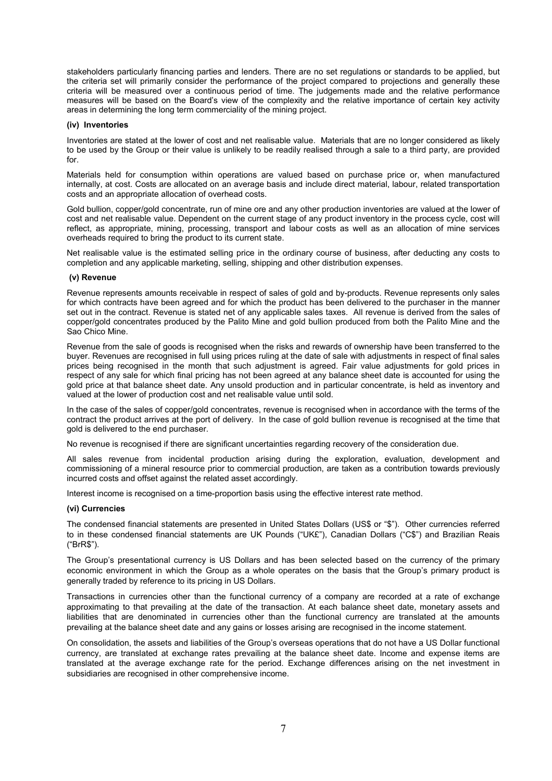stakeholders particularly financing parties and lenders. There are no set regulations or standards to be applied, but the criteria set will primarily consider the performance of the project compared to projections and generally these criteria will be measured over a continuous period of time. The judgements made and the relative performance measures will be based on the Board's view of the complexity and the relative importance of certain key activity areas in determining the long term commerciality of the mining project.

#### **(iv) Inventories**

Inventories are stated at the lower of cost and net realisable value. Materials that are no longer considered as likely to be used by the Group or their value is unlikely to be readily realised through a sale to a third party, are provided for.

Materials held for consumption within operations are valued based on purchase price or, when manufactured internally, at cost. Costs are allocated on an average basis and include direct material, labour, related transportation costs and an appropriate allocation of overhead costs.

Gold bullion, copper/gold concentrate, run of mine ore and any other production inventories are valued at the lower of cost and net realisable value. Dependent on the current stage of any product inventory in the process cycle, cost will reflect, as appropriate, mining, processing, transport and labour costs as well as an allocation of mine services overheads required to bring the product to its current state.

Net realisable value is the estimated selling price in the ordinary course of business, after deducting any costs to completion and any applicable marketing, selling, shipping and other distribution expenses.

#### **(v) Revenue**

Revenue represents amounts receivable in respect of sales of gold and by-products. Revenue represents only sales for which contracts have been agreed and for which the product has been delivered to the purchaser in the manner set out in the contract. Revenue is stated net of any applicable sales taxes. All revenue is derived from the sales of copper/gold concentrates produced by the Palito Mine and gold bullion produced from both the Palito Mine and the Sao Chico Mine.

Revenue from the sale of goods is recognised when the risks and rewards of ownership have been transferred to the buyer. Revenues are recognised in full using prices ruling at the date of sale with adjustments in respect of final sales prices being recognised in the month that such adjustment is agreed. Fair value adjustments for gold prices in respect of any sale for which final pricing has not been agreed at any balance sheet date is accounted for using the gold price at that balance sheet date. Any unsold production and in particular concentrate, is held as inventory and valued at the lower of production cost and net realisable value until sold.

In the case of the sales of copper/gold concentrates, revenue is recognised when in accordance with the terms of the contract the product arrives at the port of delivery. In the case of gold bullion revenue is recognised at the time that gold is delivered to the end purchaser.

No revenue is recognised if there are significant uncertainties regarding recovery of the consideration due.

All sales revenue from incidental production arising during the exploration, evaluation, development and commissioning of a mineral resource prior to commercial production, are taken as a contribution towards previously incurred costs and offset against the related asset accordingly.

Interest income is recognised on a time-proportion basis using the effective interest rate method.

### **(vi) Currencies**

The condensed financial statements are presented in United States Dollars (US\$ or "\$"). Other currencies referred to in these condensed financial statements are UK Pounds ("UK£"), Canadian Dollars ("C\$") and Brazilian Reais ("BrR\$").

The Group's presentational currency is US Dollars and has been selected based on the currency of the primary economic environment in which the Group as a whole operates on the basis that the Group's primary product is generally traded by reference to its pricing in US Dollars.

Transactions in currencies other than the functional currency of a company are recorded at a rate of exchange approximating to that prevailing at the date of the transaction. At each balance sheet date, monetary assets and liabilities that are denominated in currencies other than the functional currency are translated at the amounts prevailing at the balance sheet date and any gains or losses arising are recognised in the income statement.

On consolidation, the assets and liabilities of the Group's overseas operations that do not have a US Dollar functional currency, are translated at exchange rates prevailing at the balance sheet date. Income and expense items are translated at the average exchange rate for the period. Exchange differences arising on the net investment in subsidiaries are recognised in other comprehensive income.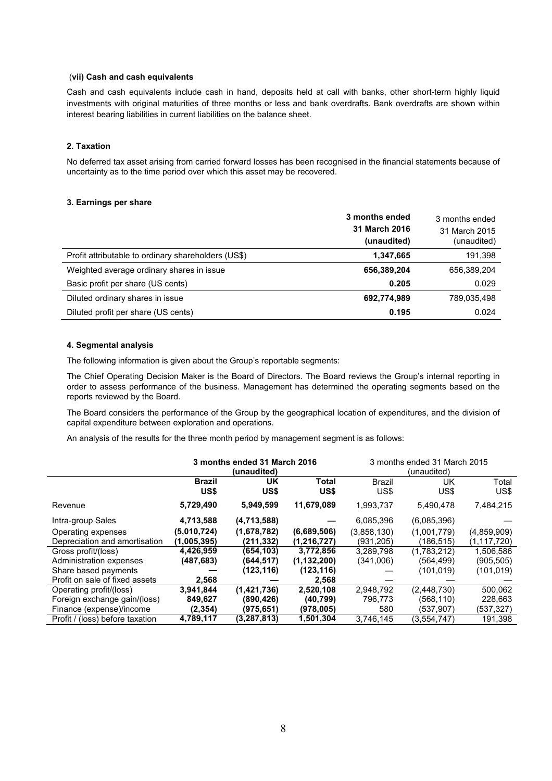### (**vii) Cash and cash equivalents**

Cash and cash equivalents include cash in hand, deposits held at call with banks, other short-term highly liquid investments with original maturities of three months or less and bank overdrafts. Bank overdrafts are shown within interest bearing liabilities in current liabilities on the balance sheet.

#### **2. Taxation**

No deferred tax asset arising from carried forward losses has been recognised in the financial statements because of uncertainty as to the time period over which this asset may be recovered.

#### **3. Earnings per share**

|                                                     | 3 months ended<br>31 March 2016<br>(unaudited) | 3 months ended<br>31 March 2015<br>(unaudited) |
|-----------------------------------------------------|------------------------------------------------|------------------------------------------------|
| Profit attributable to ordinary shareholders (US\$) | 1,347,665                                      | 191,398                                        |
| Weighted average ordinary shares in issue           | 656,389,204                                    | 656,389,204                                    |
| Basic profit per share (US cents)                   | 0.205                                          | 0.029                                          |
| Diluted ordinary shares in issue                    | 692,774,989                                    | 789,035,498                                    |
| Diluted profit per share (US cents)                 | 0.195                                          | 0.024                                          |

#### **4. Segmental analysis**

The following information is given about the Group's reportable segments:

The Chief Operating Decision Maker is the Board of Directors. The Board reviews the Group's internal reporting in order to assess performance of the business. Management has determined the operating segments based on the reports reviewed by the Board.

The Board considers the performance of the Group by the geographical location of expenditures, and the division of capital expenditure between exploration and operations.

An analysis of the results for the three month period by management segment is as follows:

|                                 | 3 months ended 31 March 2016<br>(unaudited) |               |                      | 3 months ended 31 March 2015<br>(unaudited) |             |               |
|---------------------------------|---------------------------------------------|---------------|----------------------|---------------------------------------------|-------------|---------------|
|                                 | <b>Brazil</b><br>US\$                       | UK<br>US\$    | <b>Total</b><br>US\$ | <b>Brazil</b><br>US\$                       | UK<br>US\$  | Total<br>US\$ |
| Revenue                         | 5,729,490                                   | 5,949,599     | 11,679,089           | 1,993,737                                   | 5,490,478   | 7,484,215     |
| Intra-group Sales               | 4,713,588                                   | (4,713,588)   |                      | 6,085,396                                   | (6,085,396) |               |
| Operating expenses              | (5,010,724)                                 | (1,678,782)   | (6,689,506)          | (3,858,130)                                 | (1,001,779) | (4,859,909)   |
| Depreciation and amortisation   | (1,005,395)                                 | (211, 332)    | (1, 216, 727)        | (931.205)                                   | (186, 515)  | (1,117,720)   |
| Gross profit/(loss)             | 4,426,959                                   | (654, 103)    | 3,772,856            | 3,289,798                                   | (1,783,212) | 1,506,586     |
| Administration expenses         | (487,683)                                   | (644, 517)    | (1, 132, 200)        | (341,006)                                   | (564,499)   | (905, 505)    |
| Share based payments            |                                             | (123,116)     | (123,116)            |                                             | (101.019)   | (101,019)     |
| Profit on sale of fixed assets  | 2,568                                       |               | 2,568                |                                             |             |               |
| Operating profit/(loss)         | 3,941,844                                   | (1,421,736)   | 2,520,108            | 2,948,792                                   | (2,448,730) | 500,062       |
| Foreign exchange gain/(loss)    | 849,627                                     | (890,426)     | (40, 799)            | 796,773                                     | (568,110)   | 228,663       |
| Finance (expense)/income        | (2, 354)                                    | (975,651)     | (978,005)            | 580                                         | (537,907)   | (537,327)     |
| Profit / (loss) before taxation | 4,789,117                                   | (3, 287, 813) | 1,501,304            | 3,746,145                                   | (3,554,747) | 191,398       |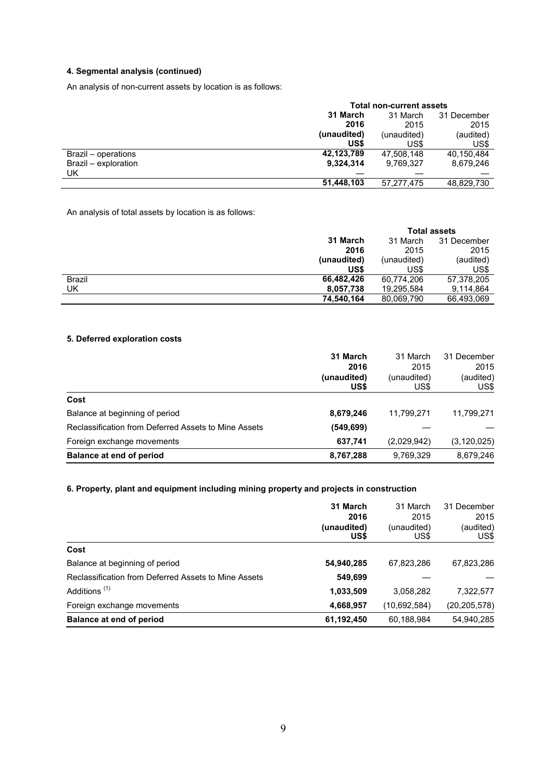### **4. Segmental analysis (continued)**

An analysis of non-current assets by location is as follows:

| <b>Total non-current assets</b>     |             |            |  |
|-------------------------------------|-------------|------------|--|
| 31 March<br>31 December<br>31 March |             |            |  |
| 2016                                | 2015        | 2015       |  |
| (unaudited)                         | (unaudited) | (audited)  |  |
| US\$                                | US\$        | US\$       |  |
| 42,123,789                          | 47.508.148  | 40.150.484 |  |
| 9,324,314                           | 9,769,327   | 8,679,246  |  |
|                                     |             |            |  |
| 51,448,103                          | 57,277,475  | 48,829,730 |  |
|                                     |             |            |  |

An analysis of total assets by location is as follows:

|               |             | <b>Total assets</b> |             |  |
|---------------|-------------|---------------------|-------------|--|
|               | 31 March    | 31 March            | 31 December |  |
|               | 2016        | 2015                | 2015        |  |
|               | (unaudited) | (unaudited)         | (audited)   |  |
|               | US\$        | US\$                | US\$        |  |
| <b>Brazil</b> | 66,482,426  | 60,774,206          | 57,378,205  |  |
| UK            | 8,057,738   | 19,295,584          | 9,114,864   |  |
|               | 74,540,164  | 80,069,790          | 66,493,069  |  |

### **5. Deferred exploration costs**

|                                                      | 31 March    | 31 March    | 31 December   |
|------------------------------------------------------|-------------|-------------|---------------|
|                                                      | 2016        | 2015        | 2015          |
|                                                      | (unaudited) | (unaudited) | (audited)     |
|                                                      | US\$        | US\$        | US\$          |
| Cost                                                 |             |             |               |
| Balance at beginning of period                       | 8,679,246   | 11,799,271  | 11,799,271    |
| Reclassification from Deferred Assets to Mine Assets | (549, 699)  |             |               |
| Foreign exchange movements                           | 637,741     | (2,029,942) | (3, 120, 025) |
| <b>Balance at end of period</b>                      | 8,767,288   | 9,769,329   | 8,679,246     |

### **6. Property, plant and equipment including mining property and projects in construction**

|                                                      | 31 March<br>2016<br>(unaudited)<br>US\$ | 31 March<br>2015<br>(unaudited)<br>US\$ | 31 December<br>2015<br>(audited)<br>US\$ |
|------------------------------------------------------|-----------------------------------------|-----------------------------------------|------------------------------------------|
| Cost                                                 |                                         |                                         |                                          |
| Balance at beginning of period                       | 54,940,285                              | 67,823,286                              | 67,823,286                               |
| Reclassification from Deferred Assets to Mine Assets | 549,699                                 |                                         |                                          |
| Additions <sup>(1)</sup>                             | 1,033,509                               | 3,058,282                               | 7,322,577                                |
| Foreign exchange movements                           | 4,668,957                               | (10,692,584)                            | (20, 205, 578)                           |
| Balance at end of period                             | 61,192,450                              | 60,188,984                              | 54,940,285                               |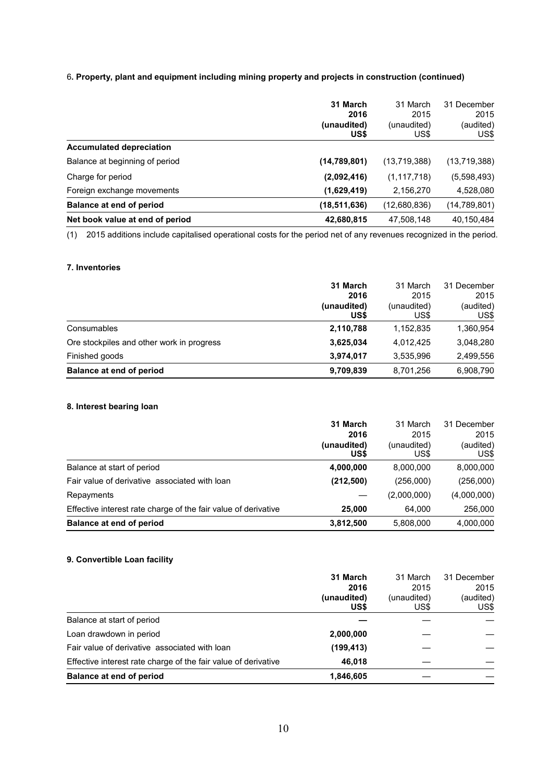### 6**. Property, plant and equipment including mining property and projects in construction (continued)**

|                                 | 31 March<br>2016<br>(unaudited)<br>US\$ | 31 March<br>2015<br>(unaudited)<br>US\$ | 31 December<br>2015<br>(audited)<br>US\$ |
|---------------------------------|-----------------------------------------|-----------------------------------------|------------------------------------------|
| <b>Accumulated depreciation</b> |                                         |                                         |                                          |
| Balance at beginning of period  | (14, 789, 801)                          | (13,719,388)                            | (13,719,388)                             |
| Charge for period               | (2,092,416)                             | (1, 117, 718)                           | (5,598,493)                              |
| Foreign exchange movements      | (1,629,419)                             | 2,156,270                               | 4,528,080                                |
| Balance at end of period        | (18, 511, 636)                          | (12,680,836)                            | (14,789,801)                             |
| Net book value at end of period | 42,680,815                              | 47,508,148                              | 40,150,484                               |

(1) 2015 additions include capitalised operational costs for the period net of any revenues recognized in the period.

### **7. Inventories**

|                                           | 31 March                    | 31 March<br>2015    | 31 December<br>2015 |
|-------------------------------------------|-----------------------------|---------------------|---------------------|
|                                           | 2016<br>(unaudited)<br>US\$ | (unaudited)<br>US\$ | (audited)<br>US\$   |
| Consumables                               | 2,110,788                   | 1,152,835           | 1,360,954           |
| Ore stockpiles and other work in progress | 3,625,034                   | 4,012,425           | 3,048,280           |
| Finished goods                            | 3,974,017                   | 3,535,996           | 2,499,556           |
| Balance at end of period                  | 9,709,839                   | 8,701,256           | 6,908,790           |

### **8. Interest bearing loan**

|                                                                | 31 March    | 31 March    | 31 December |
|----------------------------------------------------------------|-------------|-------------|-------------|
|                                                                | 2016        | 2015        | 2015        |
|                                                                | (unaudited) | (unaudited) | (audited)   |
|                                                                | US\$        | US\$        | US\$        |
| Balance at start of period                                     | 4,000,000   | 8,000,000   | 8,000,000   |
| Fair value of derivative associated with loan                  | (212, 500)  | (256,000)   | (256,000)   |
| Repayments                                                     |             | (2,000,000) | (4,000,000) |
| Effective interest rate charge of the fair value of derivative | 25,000      | 64,000      | 256,000     |
| Balance at end of period                                       | 3,812,500   | 5,808,000   | 4,000,000   |

# **9. Convertible Loan facility**

|                                                                | 31 March<br>2016<br>(unaudited)<br>US\$ | 31 March<br>2015<br>(unaudited)<br>US\$ | 31 December<br>2015<br>(audited)<br>US\$ |
|----------------------------------------------------------------|-----------------------------------------|-----------------------------------------|------------------------------------------|
| Balance at start of period                                     |                                         |                                         |                                          |
| Loan drawdown in period                                        | 2,000,000                               |                                         |                                          |
| Fair value of derivative associated with loan                  | (199, 413)                              |                                         |                                          |
| Effective interest rate charge of the fair value of derivative | 46.018                                  |                                         |                                          |
| Balance at end of period                                       | 1,846,605                               |                                         |                                          |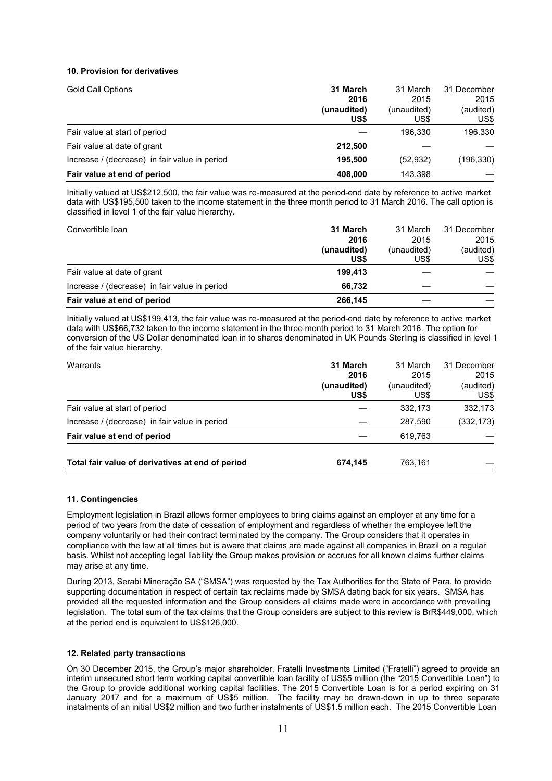### **10. Provision for derivatives**

| <b>Gold Call Options</b>                      | 31 March<br>2016<br>(unaudited)<br>US\$ | 31 March<br>2015<br>(unaudited)<br>US\$ | 31 December<br>2015<br>(audited)<br>US\$ |
|-----------------------------------------------|-----------------------------------------|-----------------------------------------|------------------------------------------|
| Fair value at start of period                 |                                         | 196.330                                 | 196.330                                  |
| Fair value at date of grant                   | 212,500                                 |                                         |                                          |
| Increase / (decrease) in fair value in period | 195.500                                 | (52, 932)                               | (196,330)                                |
| Fair value at end of period                   | 408.000                                 | 143.398                                 |                                          |

Initially valued at US\$212,500, the fair value was re-measured at the period-end date by reference to active market data with US\$195,500 taken to the income statement in the three month period to 31 March 2016. The call option is classified in level 1 of the fair value hierarchy.

| Convertible loan                              | 31 March<br>2016    | 31 March<br>2015    | 31 December<br>2015 |
|-----------------------------------------------|---------------------|---------------------|---------------------|
|                                               | (unaudited)<br>US\$ | (unaudited)<br>US\$ | (audited)<br>US\$   |
| Fair value at date of grant                   | 199.413             |                     |                     |
| Increase / (decrease) in fair value in period | 66.732              |                     |                     |
| Fair value at end of period                   | 266,145             |                     |                     |

Initially valued at US\$199,413, the fair value was re-measured at the period-end date by reference to active market data with US\$66,732 taken to the income statement in the three month period to 31 March 2016. The option for conversion of the US Dollar denominated loan in to shares denominated in UK Pounds Sterling is classified in level 1 of the fair value hierarchy.

| Warrants                                         | 31 March<br>2016<br>(unaudited)<br>US\$ | 31 March<br>2015<br>(unaudited)<br>US\$ | 31 December<br>2015<br>(audited)<br>US\$ |
|--------------------------------------------------|-----------------------------------------|-----------------------------------------|------------------------------------------|
| Fair value at start of period                    |                                         | 332.173                                 | 332,173                                  |
| Increase / (decrease) in fair value in period    |                                         | 287.590                                 | (332, 173)                               |
| Fair value at end of period                      |                                         | 619.763                                 |                                          |
| Total fair value of derivatives at end of period | 674,145                                 | 763,161                                 |                                          |

### **11. Contingencies**

Employment legislation in Brazil allows former employees to bring claims against an employer at any time for a period of two years from the date of cessation of employment and regardless of whether the employee left the company voluntarily or had their contract terminated by the company. The Group considers that it operates in compliance with the law at all times but is aware that claims are made against all companies in Brazil on a regular basis. Whilst not accepting legal liability the Group makes provision or accrues for all known claims further claims may arise at any time.

During 2013, Serabi Mineração SA ("SMSA") was requested by the Tax Authorities for the State of Para, to provide supporting documentation in respect of certain tax reclaims made by SMSA dating back for six years. SMSA has provided all the requested information and the Group considers all claims made were in accordance with prevailing legislation. The total sum of the tax claims that the Group considers are subject to this review is BrR\$449,000, which at the period end is equivalent to US\$126,000.

### **12. Related party transactions**

On 30 December 2015, the Group's major shareholder, Fratelli Investments Limited ("Fratelli") agreed to provide an interim unsecured short term working capital convertible loan facility of US\$5 million (the "2015 Convertible Loan") to the Group to provide additional working capital facilities. The 2015 Convertible Loan is for a period expiring on 31 January 2017 and for a maximum of US\$5 million. The facility may be drawn-down in up to three separate instalments of an initial US\$2 million and two further instalments of US\$1.5 million each. The 2015 Convertible Loan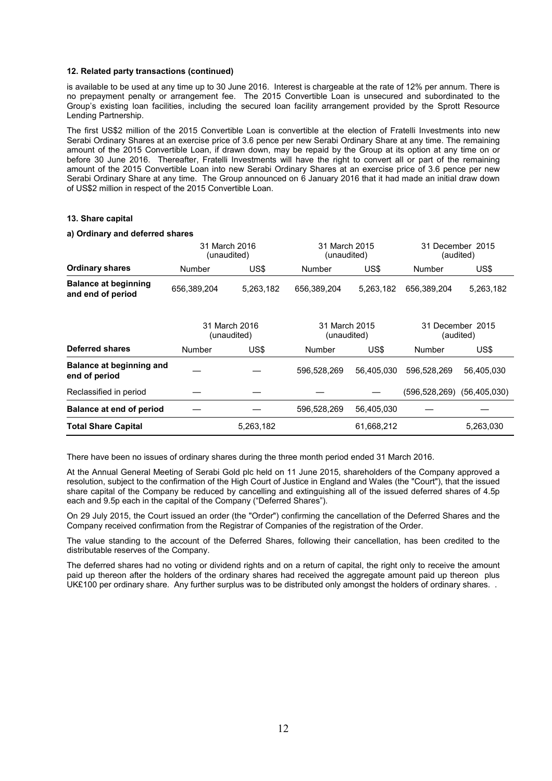#### **12. Related party transactions (continued)**

is available to be used at any time up to 30 June 2016. Interest is chargeable at the rate of 12% per annum. There is no prepayment penalty or arrangement fee. The 2015 Convertible Loan is unsecured and subordinated to the Group's existing loan facilities, including the secured loan facility arrangement provided by the Sprott Resource Lending Partnership.

The first US\$2 million of the 2015 Convertible Loan is convertible at the election of Fratelli Investments into new Serabi Ordinary Shares at an exercise price of 3.6 pence per new Serabi Ordinary Share at any time. The remaining amount of the 2015 Convertible Loan, if drawn down, may be repaid by the Group at its option at any time on or before 30 June 2016. Thereafter, Fratelli Investments will have the right to convert all or part of the remaining amount of the 2015 Convertible Loan into new Serabi Ordinary Shares at an exercise price of 3.6 pence per new Serabi Ordinary Share at any time. The Group announced on 6 January 2016 that it had made an initial draw down of US\$2 million in respect of the 2015 Convertible Loan.

### **13. Share capital**

#### **a) Ordinary and deferred shares**

|                                                  | 31 March 2016<br>(unaudited) |                              | 31 March 2015<br>(unaudited) |            |                               | 31 December 2015<br>(audited) |
|--------------------------------------------------|------------------------------|------------------------------|------------------------------|------------|-------------------------------|-------------------------------|
| <b>Ordinary shares</b>                           | Number                       | US\$                         | Number                       | US\$       | Number                        | US\$                          |
| <b>Balance at beginning</b><br>and end of period | 656,389,204                  | 5,263,182                    | 656.389.204                  | 5.263.182  | 656.389.204                   | 5,263,182                     |
|                                                  |                              | 31 March 2016<br>(unaudited) | 31 March 2015<br>(unaudited) |            | 31 December 2015<br>(audited) |                               |
| Deferred shares                                  | Number                       | US\$                         | <b>Number</b>                | US\$       | Number                        | US\$                          |
| <b>Balance at beginning and</b><br>end of period |                              |                              | 596,528,269                  | 56,405,030 | 596,528,269                   | 56,405,030                    |
| Reclassified in period                           |                              |                              |                              |            | (596, 528, 269)               | (56, 405, 030)                |
| <b>Balance at end of period</b>                  |                              |                              | 596,528,269                  | 56.405.030 |                               |                               |
| <b>Total Share Capital</b>                       |                              | 5,263,182                    |                              | 61.668.212 |                               | 5,263,030                     |

There have been no issues of ordinary shares during the three month period ended 31 March 2016.

At the Annual General Meeting of Serabi Gold plc held on 11 June 2015, shareholders of the Company approved a resolution, subject to the confirmation of the High Court of Justice in England and Wales (the "Court"), that the issued share capital of the Company be reduced by cancelling and extinguishing all of the issued deferred shares of 4.5p each and 9.5p each in the capital of the Company ("Deferred Shares").

On 29 July 2015, the Court issued an order (the "Order") confirming the cancellation of the Deferred Shares and the Company received confirmation from the Registrar of Companies of the registration of the Order.

The value standing to the account of the Deferred Shares, following their cancellation, has been credited to the distributable reserves of the Company.

The deferred shares had no voting or dividend rights and on a return of capital, the right only to receive the amount paid up thereon after the holders of the ordinary shares had received the aggregate amount paid up thereon plus UK£100 per ordinary share. Any further surplus was to be distributed only amongst the holders of ordinary shares.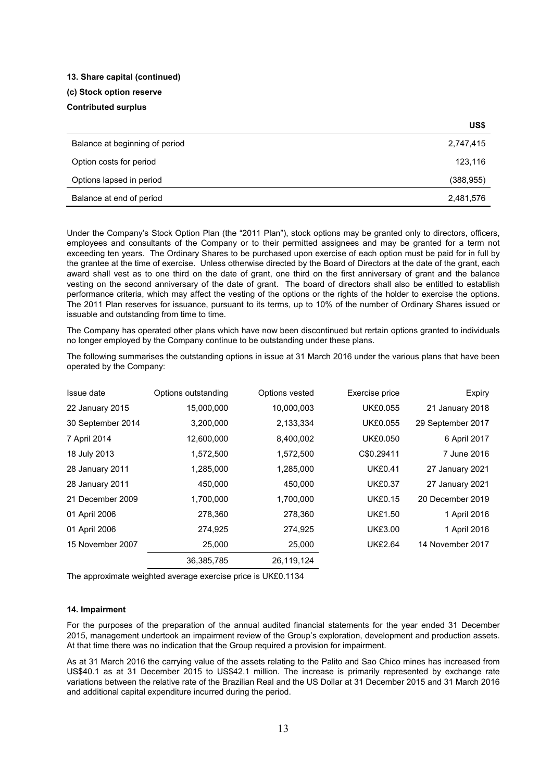# **13. Share capital (continued)**

### **(c) Stock option reserve Contributed surplus**

|                                | US\$       |
|--------------------------------|------------|
| Balance at beginning of period | 2,747,415  |
| Option costs for period        | 123,116    |
| Options lapsed in period       | (388, 955) |
| Balance at end of period       | 2,481,576  |

Under the Company's Stock Option Plan (the "2011 Plan"), stock options may be granted only to directors, officers, employees and consultants of the Company or to their permitted assignees and may be granted for a term not exceeding ten years. The Ordinary Shares to be purchased upon exercise of each option must be paid for in full by the grantee at the time of exercise. Unless otherwise directed by the Board of Directors at the date of the grant, each award shall vest as to one third on the date of grant, one third on the first anniversary of grant and the balance vesting on the second anniversary of the date of grant. The board of directors shall also be entitled to establish performance criteria, which may affect the vesting of the options or the rights of the holder to exercise the options. The 2011 Plan reserves for issuance, pursuant to its terms, up to 10% of the number of Ordinary Shares issued or issuable and outstanding from time to time.

The Company has operated other plans which have now been discontinued but rertain options granted to individuals no longer employed by the Company continue to be outstanding under these plans.

The following summarises the outstanding options in issue at 31 March 2016 under the various plans that have been operated by the Company:

| Issue date        | Options outstanding | Options vested | Exercise price  | Expiry            |
|-------------------|---------------------|----------------|-----------------|-------------------|
| 22 January 2015   | 15,000,000          | 10,000,003     | <b>UK£0.055</b> | 21 January 2018   |
| 30 September 2014 | 3,200,000           | 2,133,334      | <b>UK£0.055</b> | 29 September 2017 |
| 7 April 2014      | 12,600,000          | 8,400,002      | <b>UK£0.050</b> | 6 April 2017      |
| 18 July 2013      | 1,572,500           | 1,572,500      | C\$0.29411      | 7 June 2016       |
| 28 January 2011   | 1,285,000           | 1,285,000      | <b>UK£0.41</b>  | 27 January 2021   |
| 28 January 2011   | 450,000             | 450,000        | <b>UK£0.37</b>  | 27 January 2021   |
| 21 December 2009  | 1,700,000           | 1,700,000      | <b>UK£0.15</b>  | 20 December 2019  |
| 01 April 2006     | 278,360             | 278,360        | <b>UK£1.50</b>  | 1 April 2016      |
| 01 April 2006     | 274,925             | 274,925        | <b>UK£3.00</b>  | 1 April 2016      |
| 15 November 2007  | 25,000              | 25,000         | <b>UK£2.64</b>  | 14 November 2017  |
|                   | 36,385,785          | 26,119,124     |                 |                   |

The approximate weighted average exercise price is UK£0.1134

### **14. Impairment**

For the purposes of the preparation of the annual audited financial statements for the year ended 31 December 2015, management undertook an impairment review of the Group's exploration, development and production assets. At that time there was no indication that the Group required a provision for impairment.

As at 31 March 2016 the carrying value of the assets relating to the Palito and Sao Chico mines has increased from US\$40.1 as at 31 December 2015 to US\$42.1 million. The increase is primarily represented by exchange rate variations between the relative rate of the Brazilian Real and the US Dollar at 31 December 2015 and 31 March 2016 and additional capital expenditure incurred during the period.